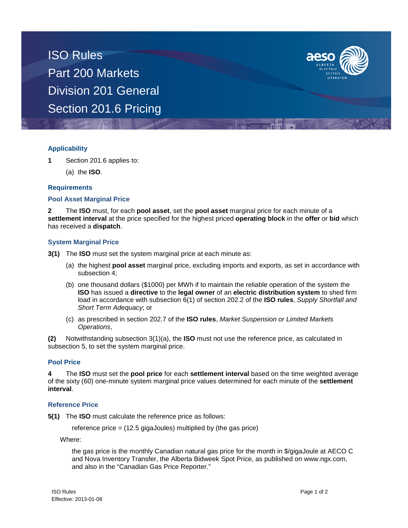ISO Rules Part 200 Markets Division 201 General Section 201.6 Pricing



# **Applicability**

- **1** Section 201.6 applies to:
	- (a) the **ISO**.

### **Requirements**

### **Pool Asset Marginal Price**

**2** The **ISO** must, for each **pool asset**, set the **pool asset** marginal price for each minute of a **settlement interval** at the price specified for the highest priced **operating block** in the **offer** or **bid** which has received a **dispatch**.

# **System Marginal Price**

- **3(1)** The **ISO** must set the system marginal price at each minute as:
	- (a) the highest **pool asset** marginal price, excluding imports and exports, as set in accordance with subsection 4;
	- (b) one thousand dollars (\$1000) per MWh if to maintain the reliable operation of the system the **ISO** has issued a **directive** to the **legal owner** of an **electric distribution system** to shed firm load in accordance with subsection 6(1) of section 202.2 of the **ISO rules**, *Supply Shortfall and Short Term Adequacy*; or
	- (c) as prescribed in section 202.7 of the **ISO rules**, *Market Suspension or Limited Markets Operations*,

**(2)** Notwithstanding subsection 3(1)(a), the **ISO** must not use the reference price, as calculated in subsection 5, to set the system marginal price.

### **Pool Price**

**4** The **ISO** must set the **pool price** for each **settlement interval** based on the time weighted average of the sixty (60) one-minute system marginal price values determined for each minute of the **settlement interval**.

### **Reference Price**

**5(1)** The **ISO** must calculate the reference price as follows:

reference price = (12.5 gigaJoules) multiplied by (the gas price)

Where:

the gas price is the monthly Canadian natural gas price for the month in \$/gigaJoule at AECO C and Nova Inventory Transfer, the Alberta Bidweek Spot Price, as published on www.ngx.com, and also in the "Canadian Gas Price Reporter."